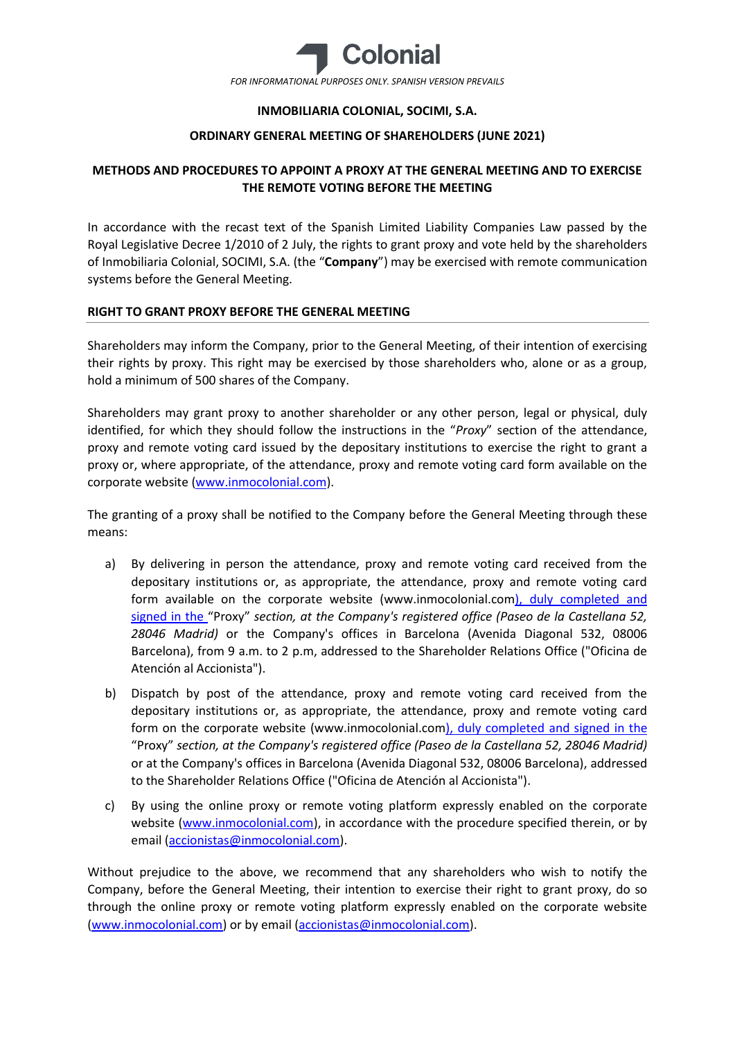

## **INMOBILIARIA COLONIAL, SOCIMI, S.A.**

## **ORDINARY GENERAL MEETING OF SHAREHOLDERS (JUNE 2021)**

# **METHODS AND PROCEDURES TO APPOINT A PROXY AT THE GENERAL MEETING AND TO EXERCISE THE REMOTE VOTING BEFORE THE MEETING**

In accordance with the recast text of the Spanish Limited Liability Companies Law passed by the Royal Legislative Decree 1/2010 of 2 July, the rights to grant proxy and vote held by the shareholders of Inmobiliaria Colonial, SOCIMI, S.A. (the "**Company**") may be exercised with remote communication systems before the General Meeting.

### **RIGHT TO GRANT PROXY BEFORE THE GENERAL MEETING**

Shareholders may inform the Company, prior to the General Meeting, of their intention of exercising their rights by proxy. This right may be exercised by those shareholders who, alone or as a group, hold a minimum of 500 shares of the Company.

Shareholders may grant proxy to another shareholder or any other person, legal or physical, duly identified, for which they should follow the instructions in the "*Proxy*" section of the attendance, proxy and remote voting card issued by the depositary institutions to exercise the right to grant a proxy or, where appropriate, of the attendance, proxy and remote voting card form available on the corporate website [\(www.inmocolonial.com\)](http://www.inmocolonial.com/).

The granting of a proxy shall be notified to the Company before the General Meeting through these means:

- a) By delivering in person the attendance, proxy and remote voting card received from the depositary institutions or, as appropriate, the attendance, proxy and remote voting card form available on the corporate website (www.inmocolonial.co[m\), duly completed and](http://www.inmocolonial.com/)  [signed in the](http://www.inmocolonial.com/) "Proxy" *section, at the Company's registered office (Paseo de la Castellana 52, 28046 Madrid)* or the Company's offices in Barcelona (Avenida Diagonal 532, 08006 Barcelona), from 9 a.m. to 2 p.m, addressed to the Shareholder Relations Office ("Oficina de Atención al Accionista").
- b) Dispatch by post of the attendance, proxy and remote voting card received from the depositary institutions or, as appropriate, the attendance, proxy and remote voting card form on the corporate website (www.inmocolonial.co[m\), duly completed and signed in the](http://www.inmocolonial.com/)  "Proxy" *section, at the Company's registered office (Paseo de la Castellana 52, 28046 Madrid)*  or at the Company's offices in Barcelona (Avenida Diagonal 532, 08006 Barcelona), addressed to the Shareholder Relations Office ("Oficina de Atención al Accionista").
- c) By using the online proxy or remote voting platform expressly enabled on the corporate website [\(www.inmocolonial.com\)](http://www.inmocolonial.com/), in accordance with the procedure specified therein, or by email [\(accionistas@inmocolonial.com\)](mailto:accionistas@inmocolonial.com).

Without prejudice to the above, we recommend that any shareholders who wish to notify the Company, before the General Meeting, their intention to exercise their right to grant proxy, do so through the online proxy or remote voting platform expressly enabled on the corporate website [\(www.inmocolonial.com\)](http://www.inmocolonial.com/) or by email [\(accionistas@inmocolonial.com\)](mailto:accionistas@inmocolonial.com).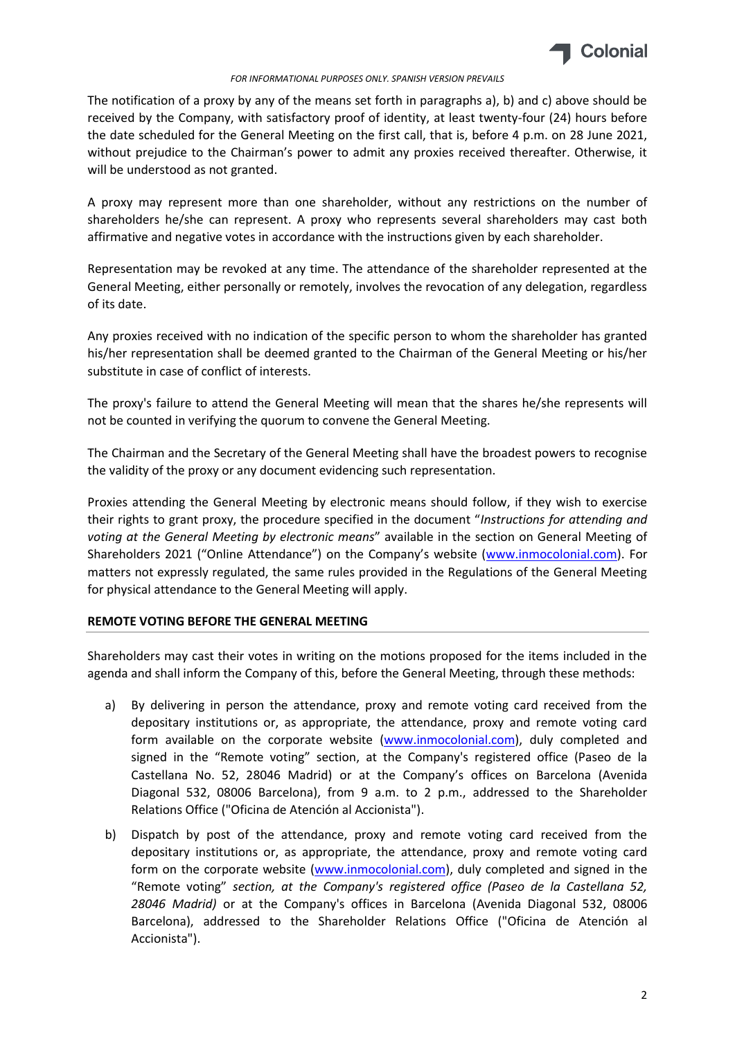

#### *FOR INFORMATIONAL PURPOSES ONLY. SPANISH VERSION PREVAILS*

The notification of a proxy by any of the means set forth in paragraphs a), b) and c) above should be received by the Company, with satisfactory proof of identity, at least twenty-four (24) hours before the date scheduled for the General Meeting on the first call, that is, before 4 p.m. on 28 June 2021, without prejudice to the Chairman's power to admit any proxies received thereafter. Otherwise, it will be understood as not granted.

A proxy may represent more than one shareholder, without any restrictions on the number of shareholders he/she can represent. A proxy who represents several shareholders may cast both affirmative and negative votes in accordance with the instructions given by each shareholder.

Representation may be revoked at any time. The attendance of the shareholder represented at the General Meeting, either personally or remotely, involves the revocation of any delegation, regardless of its date.

Any proxies received with no indication of the specific person to whom the shareholder has granted his/her representation shall be deemed granted to the Chairman of the General Meeting or his/her substitute in case of conflict of interests.

The proxy's failure to attend the General Meeting will mean that the shares he/she represents will not be counted in verifying the quorum to convene the General Meeting.

The Chairman and the Secretary of the General Meeting shall have the broadest powers to recognise the validity of the proxy or any document evidencing such representation.

Proxies attending the General Meeting by electronic means should follow, if they wish to exercise their rights to grant proxy, the procedure specified in the document "*Instructions for attending and voting at the General Meeting by electronic means*" available in the section on General Meeting of Shareholders 2021 ("Online Attendance") on the Company's website ([www.inmocolonial.com\)](http://www.inmocolonial.com/). For matters not expressly regulated, the same rules provided in the Regulations of the General Meeting for physical attendance to the General Meeting will apply.

## **REMOTE VOTING BEFORE THE GENERAL MEETING**

Shareholders may cast their votes in writing on the motions proposed for the items included in the agenda and shall inform the Company of this, before the General Meeting, through these methods:

- a) By delivering in person the attendance, proxy and remote voting card received from the depositary institutions or, as appropriate, the attendance, proxy and remote voting card form available on the corporate website [\(www.inmocolonial.com\)](http://www.inmocolonial.com/), duly completed and signed in the "Remote voting" section, at the Company's registered office (Paseo de la Castellana No. 52, 28046 Madrid) or at the Company's offices on Barcelona (Avenida Diagonal 532, 08006 Barcelona), from 9 a.m. to 2 p.m., addressed to the Shareholder Relations Office ("Oficina de Atención al Accionista").
- b) Dispatch by post of the attendance, proxy and remote voting card received from the depositary institutions or, as appropriate, the attendance, proxy and remote voting card form on the corporate website [\(www.inmocolonial.com\)](http://www.inmocolonial.com/), duly completed and signed in the "Remote voting" *section, at the Company's registered office (Paseo de la Castellana 52, 28046 Madrid)* or at the Company's offices in Barcelona (Avenida Diagonal 532, 08006 Barcelona), addressed to the Shareholder Relations Office ("Oficina de Atención al Accionista").